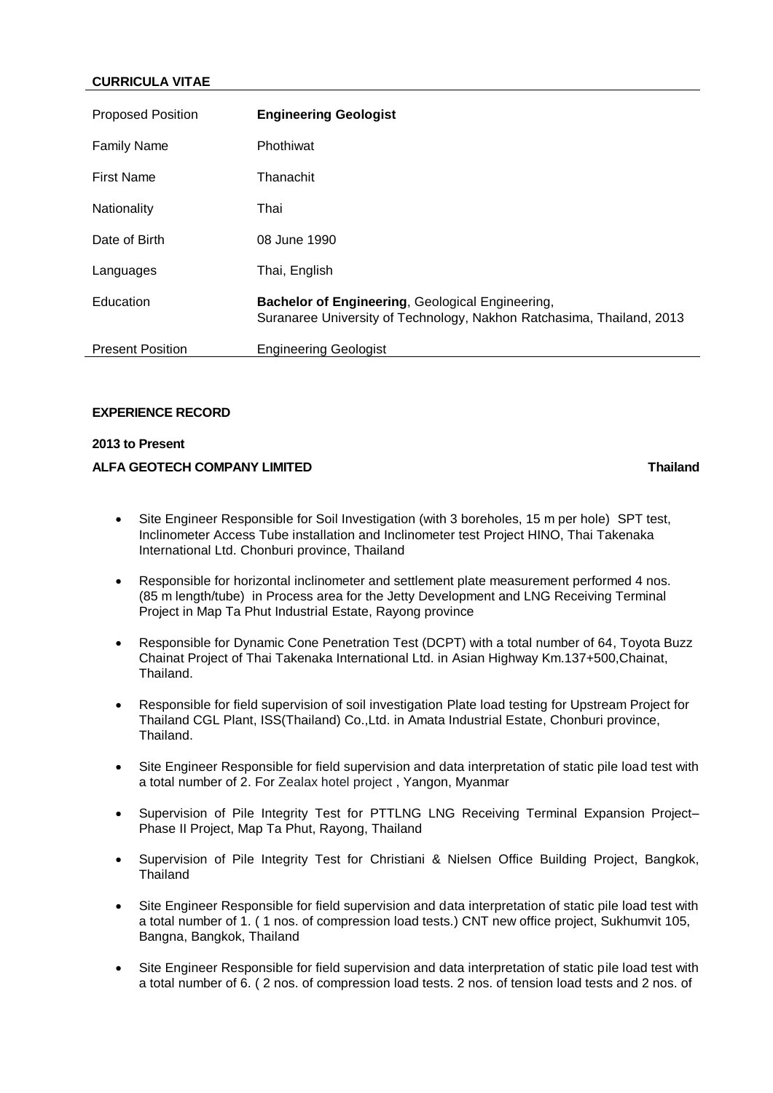# *4B***CURRICULA VITAE**

| <b>Proposed Position</b> | <b>Engineering Geologist</b>                                                                                                     |
|--------------------------|----------------------------------------------------------------------------------------------------------------------------------|
| <b>Family Name</b>       | Phothiwat                                                                                                                        |
| <b>First Name</b>        | Thanachit                                                                                                                        |
| Nationality              | Thai                                                                                                                             |
| Date of Birth            | 08 June 1990                                                                                                                     |
| Languages                | Thai, English                                                                                                                    |
| Education                | <b>Bachelor of Engineering, Geological Engineering,</b><br>Suranaree University of Technology, Nakhon Ratchasima, Thailand, 2013 |
| <b>Present Position</b>  | <b>Engineering Geologist</b>                                                                                                     |

## **EXPERIENCE RECORD**

#### *0B***2013 to Present**

## *5B***ALFA GEOTECH COMPANY LIMITED Thailand**

- Site Engineer Responsible for Soil Investigation (with 3 boreholes, 15 m per hole) SPT test, Inclinometer Access Tube installation and Inclinometer test Project HINO, Thai Takenaka International Ltd. Chonburi province, Thailand
- Responsible for horizontal inclinometer and settlement plate measurement performed 4 nos. (85 m length/tube) in Process area for the Jetty Development and LNG Receiving Terminal Project in Map Ta Phut Industrial Estate, Rayong province
- Responsible for Dynamic Cone Penetration Test (DCPT) with a total number of 64, Toyota Buzz Chainat Project of Thai Takenaka International Ltd. in Asian Highway Km.137+500,Chainat, Thailand.
- Responsible for field supervision of soil investigation Plate load testing for Upstream Project for Thailand CGL Plant, ISS(Thailand) Co.,Ltd. in Amata Industrial Estate, Chonburi province, Thailand.
- Site Engineer Responsible for field supervision and data interpretation of static pile load test with a total number of 2. For Zealax hotel project , Yangon, Myanmar
- Supervision of Pile Integrity Test for PTTLNG LNG Receiving Terminal Expansion Project– Phase II Project, Map Ta Phut, Rayong, Thailand
- Supervision of Pile Integrity Test for Christiani & Nielsen Office Building Project, Bangkok, **Thailand**
- Site Engineer Responsible for field supervision and data interpretation of static pile load test with a total number of 1. ( 1 nos. of compression load tests.) CNT new office project, Sukhumvit 105, Bangna, Bangkok, Thailand
- Site Engineer Responsible for field supervision and data interpretation of static pile load test with a total number of 6. ( 2 nos. of compression load tests. 2 nos. of tension load tests and 2 nos. of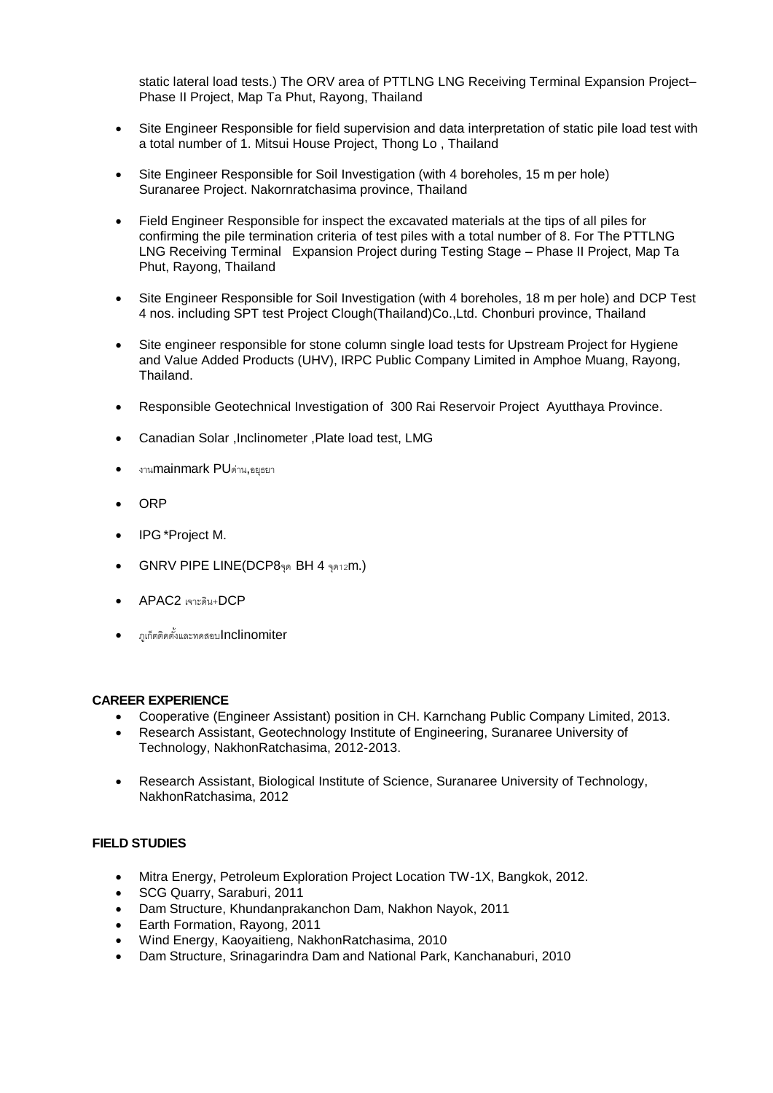static lateral load tests.) The ORV area of PTTLNG LNG Receiving Terminal Expansion Project– Phase II Project, Map Ta Phut, Rayong, Thailand

- Site Engineer Responsible for field supervision and data interpretation of static pile load test with a total number of 1. Mitsui House Project, Thong Lo , Thailand
- Site Engineer Responsible for Soil Investigation (with 4 boreholes, 15 m per hole) Suranaree Project. Nakornratchasima province, Thailand
- Field Engineer Responsible for inspect the excavated materials at the tips of all piles for confirming the pile termination criteria of test piles with a total number of 8. For The PTTLNG LNG Receiving Terminal Expansion Project during Testing Stage – Phase II Project, Map Ta Phut, Rayong, Thailand
- Site Engineer Responsible for Soil Investigation (with 4 boreholes, 18 m per hole) and DCP Test 4 nos. including SPT test Project Clough(Thailand)Co.,Ltd. Chonburi province, Thailand
- Site engineer responsible for stone column single load tests for Upstream Project for Hygiene and Value Added Products (UHV), IRPC Public Company Limited in Amphoe Muang, Rayong, Thailand.
- Responsible Geotechnical Investigation of 300 Rai Reservoir Project Ayutthaya Province.
- Canadian Solar ,Inclinometer ,Plate load test, LMG
- งานmainmark PUด่าน,อยุธยา
- ORP
- IPG \*Project M.
- GNRV PIPE LINE(DCP8จุด BH 4 จุด12m.)
- APAC2 เจาะดิน+DCP
- ภูเก็ตติดตั ้งและทดสอบInclinomiter

#### *1B***CAREER EXPERIENCE**

- Cooperative (Engineer Assistant) position in CH. Karnchang Public Company Limited, 2013.
- Research Assistant, Geotechnology Institute of Engineering, Suranaree University of Technology, NakhonRatchasima, 2012-2013.
- Research Assistant, Biological Institute of Science, Suranaree University of Technology, NakhonRatchasima, 2012

## *2B***FIELD STUDIES**

- Mitra Energy, Petroleum Exploration Project Location TW-1X, Bangkok, 2012.
- SCG Quarry, Saraburi, 2011
- Dam Structure, Khundanprakanchon Dam, Nakhon Nayok, 2011
- Earth Formation, Rayong, 2011
- Wind Energy, Kaoyaitieng, NakhonRatchasima, 2010
- Dam Structure, Srinagarindra Dam and National Park, Kanchanaburi, 2010